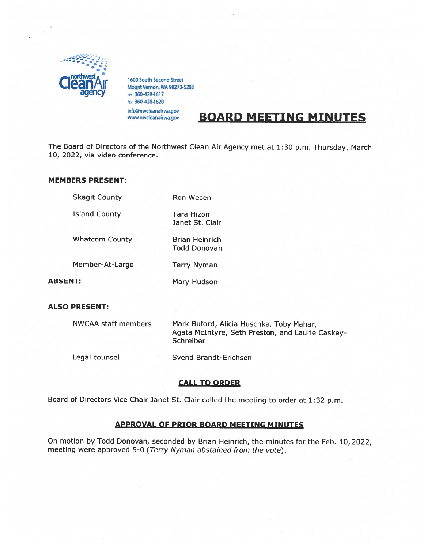

1600 South Second Street<br>Mount Vernon, WA 98273-5202 ph 360-428-1617 fax 360-428-1620 info@nwcleanairwa.gov www.nwcleanairwa.gov

# **BOARD MEETING MINUTES**

The Board of Directors of the Northwest Clean Air Agency met at 1:30 p.m. Thursday, March 10, 2022, via video conference.

#### MEMBERS PRESENT:

| <b>Skagit County</b>  | <b>Ron Wesen</b>                             |
|-----------------------|----------------------------------------------|
| <b>Island County</b>  | Tara Hizon<br>Janet St. Clair                |
| <b>Whatcom County</b> | <b>Brian Heinrich</b><br><b>Todd Donovan</b> |
| Member-At-Large       | <b>Terry Nyman</b>                           |
| ABSENT:               | Mary Hudson                                  |

#### ALSO PRESENT:

| NWCAA staff members | Mark Buford, Alicia Huschka, Toby Mahar,<br>Agata McIntyre, Seth Preston, and Laurie Caskey-<br>Schreiber |
|---------------------|-----------------------------------------------------------------------------------------------------------|
| Legal counsel       | Svend Brandt-Erichsen                                                                                     |

#### CALL TO ORDER

Board of Directors Vice Chair Janet St. Clair called the meeting to order at 1:32 p.m.

#### APPROVAL OF PRIOR BOARD MEETING MINUTES

On motion by Todd Donovan, seconded by Brian Heinrich, the minutes for the Feb. 10, 2022, meeting were approved 5-0 (Terry Nyman abstained from the vote).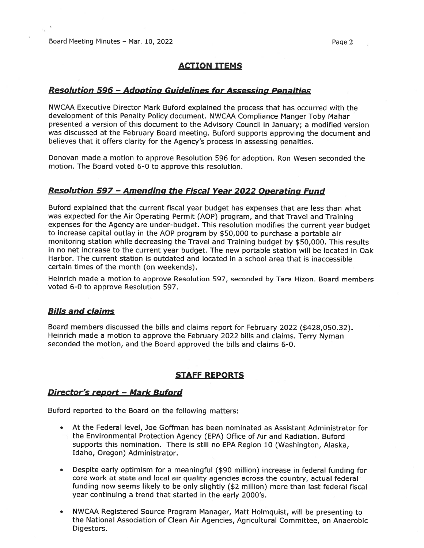## ACTION ITEMS

#### Resolution 596 -Adopting Guidelines for Assessing Penalties

NWCAA Executive Director Mark Buford explained the process that has occurred with the development of this Penalty Policy document. NWCAA Compliance Manger Toby Mahar presented <sup>a</sup> version of this document to the Advisory Council in January; <sup>a</sup> modified version was discussed at the February Board meeting. Buford supports approving the document and believes that it offers clarity for the Agency's process in assessing penalties.

Donovan made <sup>a</sup> motion to approve Resolution 596 for adoption. Ron Wesen seconded the motion. The Board voted 6-0 to approve this resolution.

#### Resolution 597 -Amending the Fiscal Year 2022 Operating Fund

Buford explained that the current fiscal year budget has expenses that are less than what was expected for the Air Operating Permit (AOP) program, and that Travel and Training expenses for the Agency are under-budget. This resolution modifies the current year budget to increase capital outlay in the AOP program by \$50,000 to purchase <sup>a</sup> portable air monitoring station while decreasing the Travel and Training budget by \$50,000. This results in no net increase to the current year budget. The new portable station will be located in Oak Harbor. The current station is outdated and located in <sup>a</sup> school area that is inaccessible certain times of the month (on weekends).

Heinrich made <sup>a</sup> motion to approve Resolution 597, seconded by Tara Hizon. Board members voted 6-0 to approve Resolution 597.

#### Bills and claims

Board members discussed the bills and claims repor<sup>t</sup> for February 2022 (\$428,050.32). Heinrich made <sup>a</sup> motion to approve the February <sup>2022</sup> bills and claims. Terry Nyman seconded the motion, and the Board approved the bills and claims 6-0.

### STAFF REPORTS

## Director's report - Mark Buford

Buford reported to the Board on the following matters:

- At the Federal level, Joe Goffman has been nominated as Assistant Administrator for the Environmental Protection Agency (EPA) Office of Air and Radiation. Buford supports this nomination. There is still no EPA Region 10 (Washington, Alaska, Idaho, Oregon) Administrator.
- Despite early optimism for <sup>a</sup> meaningful (\$90 million) increase in federal funding for core work at state and local air quality agencies across the country, actual federal funding now seems likely to be only slightly (\$2 million) more than last federal fiscal year continuing <sup>a</sup> trend that started in the early 2000's.
- • NWCAA Registered Source Program Manager, Matt Holmquist, will be presenting to the National Association of Clean Air Agencies, Agricultural Committee, on Anaerobic Digestors.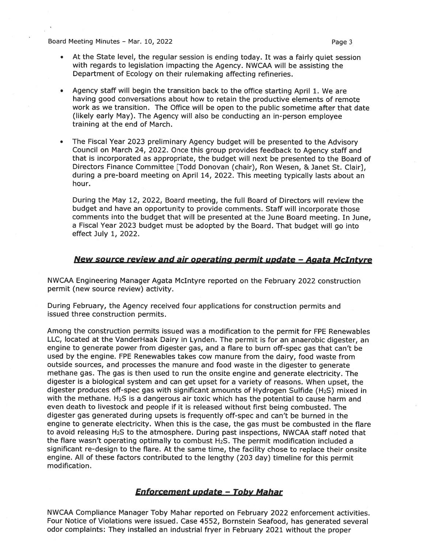Board Meeting Minutes – Mar. 10, 2022 **Page 3** and the state of the Page 3

- At the State level, the regular session is ending today. It was <sup>a</sup> fairly quiet session with regards to legislation impacting the Agency. NWCAA will be assisting the Department of Ecology on their rulemaking affecting refineries.
- • Agency staff will begin the transition back to the office starting April 1. We are having good conversations about how to retain the productive elements of remote work as we transition. The Office will be open to the public sometime after that date (likely early May). The Agency will also be conducting an in-person employee training at the end of March.
- • The Fiscal Year 2023 preliminary Agency budget will be presented to the Advisory Council on March 24, 2022. Once this group provides feedback to Agency staff and that is incorporated as appropriate, the budget will next be presented to the Board of Directors Finance Committee [Todd Donovan (chair), Ron Wesen, & Janet St. Clair], during <sup>a</sup> pre-board meeting on April 14, 2022. This meeting typically lasts about an hour.

During the May 12, 2022, Board meeting, the full Board of Directors will review the budget and have an opportunity to provide comments. Staff will incorporate those comments into the budget that will be presented at the June Board meeting. In June, <sup>a</sup> Fiscal Year <sup>2023</sup> budget must be adopted by the Board. That budget will go into effect July 1, 2022.

## New source review and air operating permit update - Agata McIntyre

NWCAA Engineering Manager Agata McIntyre reported on the February 2022 construction permit (new source review) activity.

During February, the Agency received four applications for construction permits and issued three construction permits.

Among the construction permits issued was <sup>a</sup> modification to the permit for FPE Renewables LLC, located at the VanderHaak Dairy in Lynden. The permit is for an anaerobic digester, an engine to generate power from digester gas, and <sup>a</sup> flare to burn off-spec gas that can't be used by the engine. FPE Renewables takes cow manure from the dairy, food waste from outside sources, and processes the manure and food waste in the digester to generate methane gas. The gas is then used to run the onsite engine and generate electricity. The digester is <sup>a</sup> biological system and can ge<sup>t</sup> upse<sup>t</sup> for <sup>a</sup> variety of reasons. When upset, the digester produces off-spec gas with significant amounts of Hydrogen Sulfide (H2S) mixed in with the methane. H<sub>2</sub>S is a dangerous air toxic which has the potential to cause harm and even death to livestock and people if it is released without first being combusted. The digester gas generated during upsets is frequently off-spec and can't be burned in the engine to generate electricity. When this is the case, the gas must be combusted in the flare to avoid releasing H2S to the atmosphere. During pas<sup>t</sup> inspections, NWCAA staff noted that the flare wasn't operating optimally to combust  $H_2S$ . The permit modification included a significant re-design to the flare. At the same time, the facility chose to replace their onsite engine. All of these factors contributed to the lengthy (203 day) timeline for this permit modification.

#### Enforcement update — Toby Mahar

NWCAA Compliance Manager Toby Mahar reported on February 2022 enforcement activities. Four Notice of Violations were issued. Case 4552, Bornstein Seafood, has generated several odor complaints: They installed an industrial fryer in February 2021 without the proper